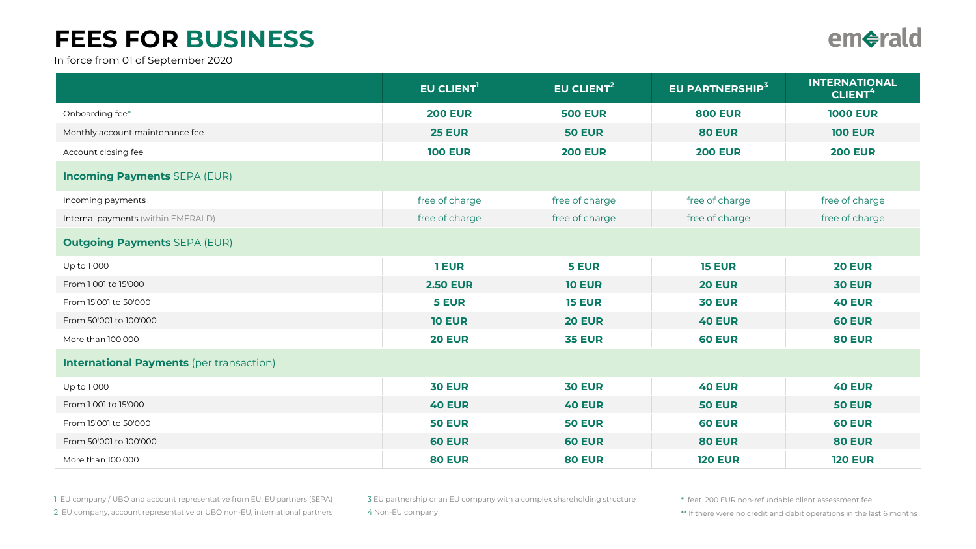## FEES FOR BUSINESS

In force from 01 of September 2020

|                                                 | EU CLIENT <sup>1</sup> | EU CLIENT <sup>2</sup> | EU PARTNERSHIP <sup>3</sup> | <b>INTERNATIONAL</b><br>CLIENT <sup>4</sup> |
|-------------------------------------------------|------------------------|------------------------|-----------------------------|---------------------------------------------|
| Onboarding fee*                                 | <b>200 EUR</b>         | <b>500 EUR</b>         | <b>800 EUR</b>              | <b>1000 EUR</b>                             |
| Monthly account maintenance fee                 | <b>25 EUR</b>          | <b>50 EUR</b>          | <b>80 EUR</b>               | <b>100 EUR</b>                              |
| Account closing fee                             | <b>100 EUR</b>         | <b>200 EUR</b>         | <b>200 EUR</b>              | <b>200 EUR</b>                              |
| <b>Incoming Payments SEPA (EUR)</b>             |                        |                        |                             |                                             |
| Incoming payments                               | free of charge         | free of charge         | free of charge              | free of charge                              |
| Internal payments (within EMERALD)              | free of charge         | free of charge         | free of charge              | free of charge                              |
| <b>Outgoing Payments SEPA (EUR)</b>             |                        |                        |                             |                                             |
| Up to 1000                                      | 1 EUR                  | <b>5 EUR</b>           | <b>15 EUR</b>               | <b>20 EUR</b>                               |
| From 1001 to 15'000                             | <b>2.50 EUR</b>        | <b>10 EUR</b>          | <b>20 EUR</b>               | <b>30 EUR</b>                               |
| From 15'001 to 50'000                           | 5 EUR                  | <b>15 EUR</b>          | <b>30 EUR</b>               | <b>40 EUR</b>                               |
| From 50'001 to 100'000                          | <b>10 EUR</b>          | <b>20 EUR</b>          | <b>40 EUR</b>               | <b>60 EUR</b>                               |
| More than 100'000                               | <b>20 EUR</b>          | <b>35 EUR</b>          | <b>60 EUR</b>               | <b>80 EUR</b>                               |
| <b>International Payments</b> (per transaction) |                        |                        |                             |                                             |
| Up to 1000                                      | <b>30 EUR</b>          | <b>30 EUR</b>          | <b>40 EUR</b>               | <b>40 EUR</b>                               |
| From 1001 to 15'000                             | <b>40 EUR</b>          | <b>40 EUR</b>          | <b>50 EUR</b>               | <b>50 EUR</b>                               |
| From 15'001 to 50'000                           | <b>50 EUR</b>          | <b>50 EUR</b>          | <b>60 EUR</b>               | <b>60 EUR</b>                               |
| From 50'001 to 100'000                          | <b>60 EUR</b>          | <b>60 EUR</b>          | <b>80 EUR</b>               | <b>80 EUR</b>                               |
| More than 100'000                               | <b>80 EUR</b>          | <b>80 EUR</b>          | <b>120 EUR</b>              | <b>120 EUR</b>                              |

1 EU company / UBO and account representative from EU, EU partners (SEPA)

2 EU company, account representative or UBO non-EU, international partners

3 EU partnership or an EU company with a complex shareholding structure 4 Non-EU company

\* feat. 200 EUR non-refundable client assessment fee

\*\* If there were no credit and debit operations in the last 6 months